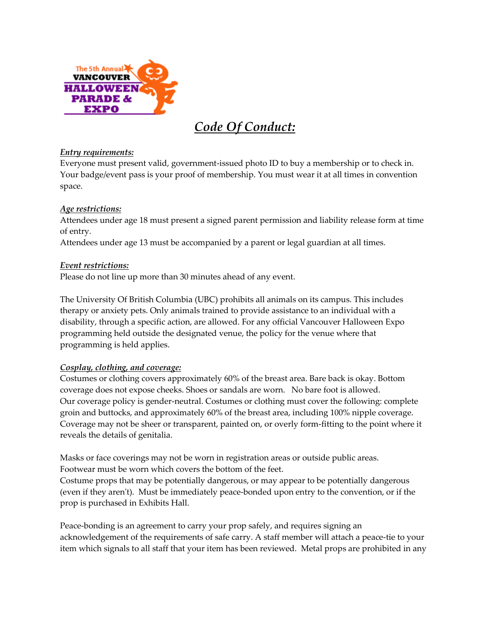

# *Code Of Conduct:*

### *Entry requirements:*

Everyone must present valid, government-issued photo ID to buy a membership or to check in. Your badge/event pass is your proof of membership. You must wear it at all times in convention space.

## *Age restrictions:*

Attendees under age 18 must present a signed parent permission and liability release form at time of entry.

Attendees under age 13 must be accompanied by a parent or legal guardian at all times.

### *Event restrictions:*

Please do not line up more than 30 minutes ahead of any event.

The University Of British Columbia (UBC) prohibits all animals on its campus. This includes therapy or anxiety pets. Only animals trained to provide assistance to an individual with a disability, through a specific action, are allowed. For any official Vancouver Halloween Expo programming held outside the designated venue, the policy for the venue where that programming is held applies.

## *Cosplay, clothing, and coverage:*

Costumes or clothing covers approximately 60% of the breast area. Bare back is okay. Bottom coverage does not expose cheeks. Shoes or sandals are worn. No bare foot is allowed. Our coverage policy is gender-neutral. Costumes or clothing must cover the following: complete groin and buttocks, and approximately 60% of the breast area, including 100% nipple coverage. Coverage may not be sheer or transparent, painted on, or overly form-fitting to the point where it reveals the details of genitalia.

Masks or face coverings may not be worn in registration areas or outside public areas. Footwear must be worn which covers the bottom of the feet.

Costume props that may be potentially dangerous, or may appear to be potentially dangerous (even if they aren't). Must be immediately peace-bonded upon entry to the convention, or if the prop is purchased in Exhibits Hall.

Peace-bonding is an agreement to carry your prop safely, and requires signing an acknowledgement of the requirements of safe carry. A staff member will attach a peace-tie to your item which signals to all staff that your item has been reviewed. Metal props are prohibited in any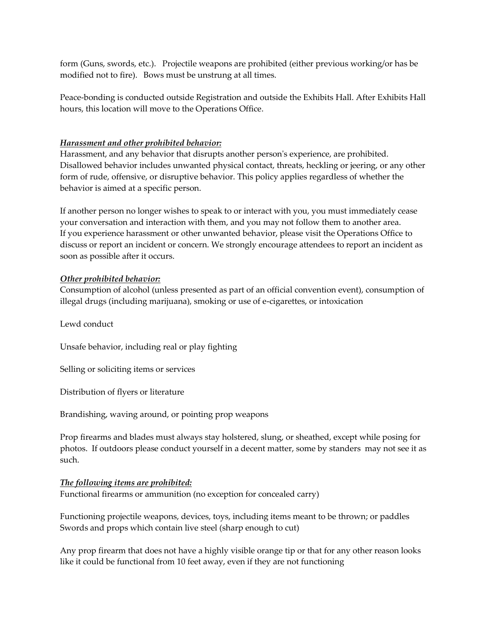form (Guns, swords, etc.). Projectile weapons are prohibited (either previous working/or has be modified not to fire). Bows must be unstrung at all times.

Peace-bonding is conducted outside Registration and outside the Exhibits Hall. After Exhibits Hall hours, this location will move to the Operations Office.

### *Harassment and other prohibited behavior:*

Harassment, and any behavior that disrupts another person's experience, are prohibited. Disallowed behavior includes unwanted physical contact, threats, heckling or jeering, or any other form of rude, offensive, or disruptive behavior. This policy applies regardless of whether the behavior is aimed at a specific person.

If another person no longer wishes to speak to or interact with you, you must immediately cease your conversation and interaction with them, and you may not follow them to another area. If you experience harassment or other unwanted behavior, please visit the Operations Office to discuss or report an incident or concern. We strongly encourage attendees to report an incident as soon as possible after it occurs.

### *Other prohibited behavior:*

Consumption of alcohol (unless presented as part of an official convention event), consumption of illegal drugs (including marijuana), smoking or use of e-cigarettes, or intoxication

Lewd conduct

Unsafe behavior, including real or play fighting

Selling or soliciting items or services

Distribution of flyers or literature

Brandishing, waving around, or pointing prop weapons

Prop firearms and blades must always stay holstered, slung, or sheathed, except while posing for photos. If outdoors please conduct yourself in a decent matter, some by standers may not see it as such.

### *The following items are prohibited:*

Functional firearms or ammunition (no exception for concealed carry)

Functioning projectile weapons, devices, toys, including items meant to be thrown; or paddles Swords and props which contain live steel (sharp enough to cut)

Any prop firearm that does not have a highly visible orange tip or that for any other reason looks like it could be functional from 10 feet away, even if they are not functioning